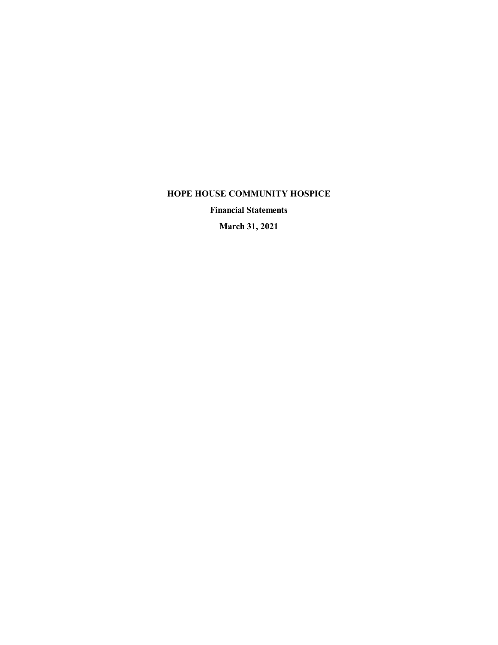**Financial Statements March 31, 2021**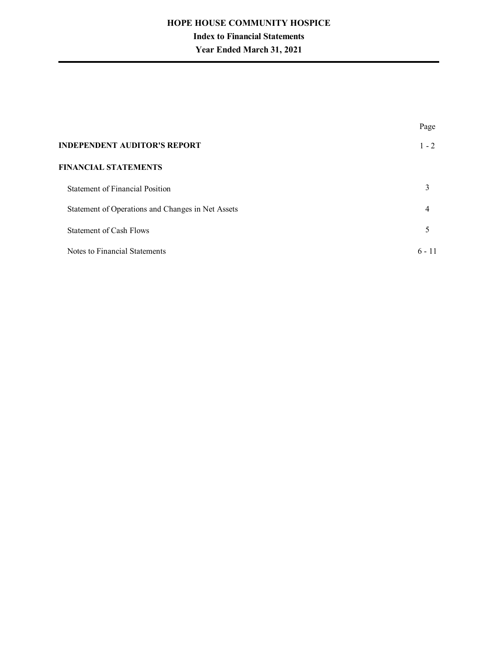# **HOPE HOUSE COMMUNITY HOSPICE Index to Financial Statements Year Ended March 31, 2021**

|                                                   | Page     |
|---------------------------------------------------|----------|
| <b>INDEPENDENT AUDITOR'S REPORT</b>               | $1 - 2$  |
| <b>FINANCIAL STATEMENTS</b>                       |          |
| <b>Statement of Financial Position</b>            | 3        |
| Statement of Operations and Changes in Net Assets | 4        |
| Statement of Cash Flows                           | 5        |
| Notes to Financial Statements                     | $6 - 11$ |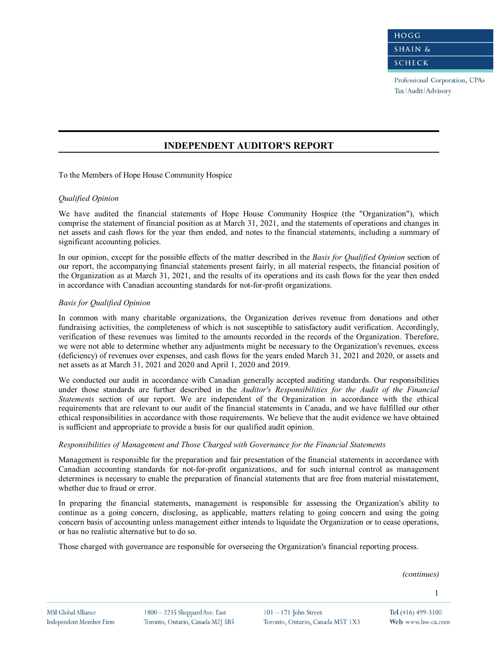Professional Corporation, CPAs Tax | Audit | Advisory

## **INDEPENDENT AUDITOR'S REPORT**

To the Members of Hope House Community Hospice

### *Qualified Opinion*

We have audited the financial statements of Hope House Community Hospice (the "Organization"), which comprise the statement of financial position as at March 31, 2021, and the statements of operations and changes in net assets and cash flows for the year then ended, and notes to the financial statements, including a summary of significant accounting policies.

In our opinion, except for the possible effects of the matter described in the *Basis for Qualified Opinion* section of our report, the accompanying financial statements present fairly, in all material respects, the financial position of the Organization as at March 31, 2021, and the results of its operations and its cash flows for the year then ended in accordance with Canadian accounting standards for not-for-profit organizations.

### *Basis for Qualified Opinion*

In common with many charitable organizations, the Organization derives revenue from donations and other fundraising activities, the completeness of which is not susceptible to satisfactory audit verification. Accordingly, verification of these revenues was limited to the amounts recorded in the records of the Organization. Therefore, we were not able to determine whether any adjustments might be necessary to the Organization's revenues, excess (deficiency) of revenues over expenses, and cash flows for the years ended March 31, 2021 and 2020, or assets and net assets as at March 31, 2021 and 2020 and April 1, 2020 and 2019.

We conducted our audit in accordance with Canadian generally accepted auditing standards. Our responsibilities under those standards are further described in the *Auditor's Responsibilities for the Audit of the Financial Statements* section of our report. We are independent of the Organization in accordance with the ethical requirements that are relevant to our audit of the financial statements in Canada, and we have fulfilled our other ethical responsibilities in accordance with those requirements. We believe that the audit evidence we have obtained is sufficient and appropriate to provide a basis for our qualified audit opinion.

#### *Responsibilities of Management and Those Charged with Governance for the Financial Statements*

Management is responsible for the preparation and fair presentation of the financial statements in accordance with Canadian accounting standards for not-for-profit organizations, and for such internal control as management determines is necessary to enable the preparation of financial statements that are free from material misstatement, whether due to fraud or error.

In preparing the financial statements, management is responsible for assessing the Organization's ability to continue as a going concern, disclosing, as applicable, matters relating to going concern and using the going concern basis of accounting unless management either intends to liquidate the Organization or to cease operations, or has no realistic alternative but to do so.

Those charged with governance are responsible for overseeing the Organization's financial reporting process.

*(continues)*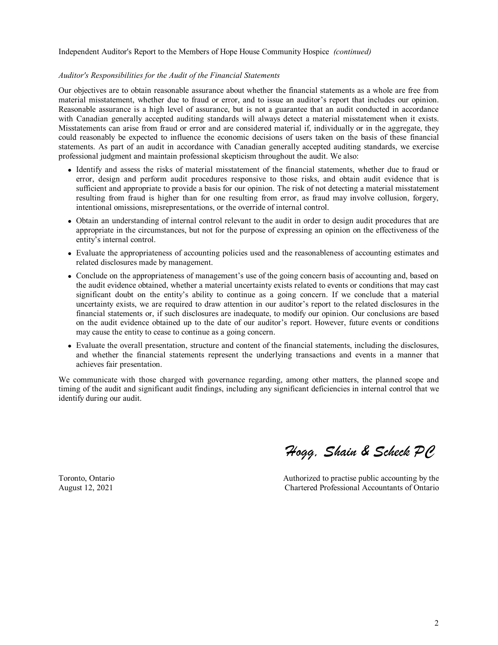#### Independent Auditor's Report to the Members of Hope House Community Hospice *(continued)*

#### *Auditor's Responsibilities for the Audit of the Financial Statements*

Our objectives are to obtain reasonable assurance about whether the financial statements as a whole are free from material misstatement, whether due to fraud or error, and to issue an auditor's report that includes our opinion. Reasonable assurance is a high level of assurance, but is not a guarantee that an audit conducted in accordance with Canadian generally accepted auditing standards will always detect a material misstatement when it exists. Misstatements can arise from fraud or error and are considered material if, individually or in the aggregate, they could reasonably be expected to influence the economic decisions of users taken on the basis of these financial statements. As part of an audit in accordance with Canadian generally accepted auditing standards, we exercise professional judgment and maintain professional skepticism throughout the audit. We also:

- <sup>l</sup> Identify and assess the risks of material misstatement of the financial statements, whether due to fraud or error, design and perform audit procedures responsive to those risks, and obtain audit evidence that is sufficient and appropriate to provide a basis for our opinion. The risk of not detecting a material misstatement resulting from fraud is higher than for one resulting from error, as fraud may involve collusion, forgery, intentional omissions, misrepresentations, or the override of internal control.
- Obtain an understanding of internal control relevant to the audit in order to design audit procedures that are appropriate in the circumstances, but not for the purpose of expressing an opinion on the effectiveness of the entity's internal control.
- <sup>l</sup> Evaluate the appropriateness of accounting policies used and the reasonableness of accounting estimates and related disclosures made by management.
- Conclude on the appropriateness of management's use of the going concern basis of accounting and, based on the audit evidence obtained, whether a material uncertainty exists related to events or conditions that may cast significant doubt on the entity's ability to continue as a going concern. If we conclude that a material uncertainty exists, we are required to draw attention in our auditor's report to the related disclosures in the financial statements or, if such disclosures are inadequate, to modify our opinion. Our conclusions are based on the audit evidence obtained up to the date of our auditor's report. However, future events or conditions may cause the entity to cease to continue as a going concern.
- <sup>l</sup> Evaluate the overall presentation, structure and content of the financial statements, including the disclosures, and whether the financial statements represent the underlying transactions and events in a manner that achieves fair presentation.

We communicate with those charged with governance regarding, among other matters, the planned scope and timing of the audit and significant audit findings, including any significant deficiencies in internal control that we identify during our audit.

*Hogg, Shain & Scheck PC*

Toronto, Ontario August 12, 2021

Authorized to practise public accounting by the Chartered Professional Accountants of Ontario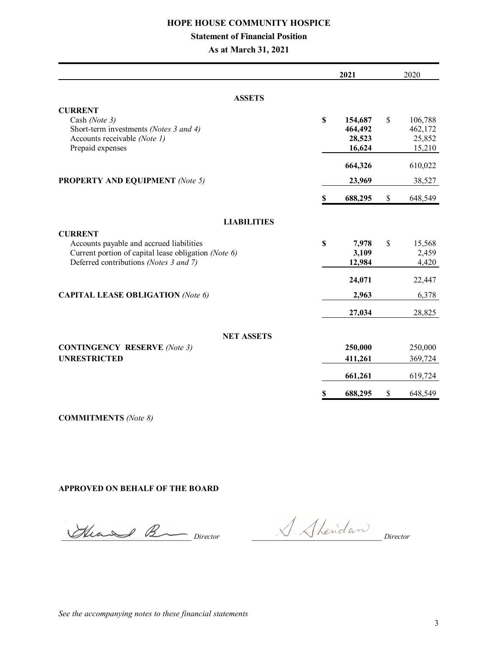## **Statement of Financial Position**

**As at March 31, 2021**

|                                                                                                                                                              | 2021                                         | 2020                                         |
|--------------------------------------------------------------------------------------------------------------------------------------------------------------|----------------------------------------------|----------------------------------------------|
| <b>ASSETS</b>                                                                                                                                                |                                              |                                              |
| <b>CURRENT</b><br>Cash (Note 3)<br>Short-term investments (Notes 3 and 4)<br>Accounts receivable (Note 1)<br>Prepaid expenses                                | \$<br>154,687<br>464,492<br>28,523<br>16,624 | \$<br>106,788<br>462,172<br>25,852<br>15,210 |
|                                                                                                                                                              | 664,326                                      | 610,022                                      |
| <b>PROPERTY AND EQUIPMENT</b> (Note 5)                                                                                                                       | 23,969                                       | 38,527                                       |
|                                                                                                                                                              | \$<br>688,295                                | \$<br>648,549                                |
| <b>LIABILITIES</b>                                                                                                                                           |                                              |                                              |
| <b>CURRENT</b><br>Accounts payable and accrued liabilities<br>Current portion of capital lease obligation (Note 6)<br>Deferred contributions (Notes 3 and 7) | \$<br>7,978<br>3,109<br>12,984               | \$<br>15,568<br>2,459<br>4,420               |
|                                                                                                                                                              | 24,071                                       | 22,447                                       |
| <b>CAPITAL LEASE OBLIGATION (Note 6)</b>                                                                                                                     | 2,963                                        | 6,378                                        |
|                                                                                                                                                              | 27,034                                       | 28,825                                       |
| <b>NET ASSETS</b>                                                                                                                                            |                                              |                                              |
| <b>CONTINGENCY RESERVE</b> (Note 3)                                                                                                                          | 250,000                                      | 250,000                                      |
| <b>UNRESTRICTED</b>                                                                                                                                          | 411,261                                      | 369,724                                      |
|                                                                                                                                                              | 661,261                                      | 619,724                                      |
|                                                                                                                                                              | \$<br>688,295                                | \$<br>648,549                                |

**COMMITMENTS** *(Note 8)*

## **APPROVED ON BEHALF OF THE BOARD**

Alexand B Director J. Sheridan Director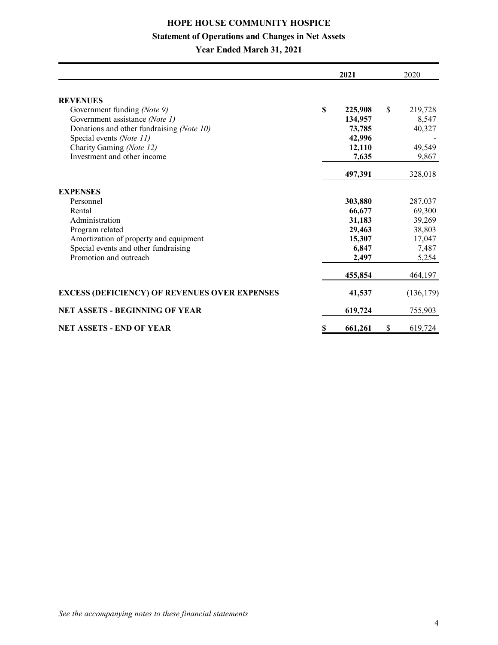## **Statement of Operations and Changes in Net Assets**

**Year Ended March 31, 2021**

|                                                      |             | 2021    |    | 2020       |  |
|------------------------------------------------------|-------------|---------|----|------------|--|
| <b>REVENUES</b>                                      |             |         |    |            |  |
| Government funding (Note 9)                          | $\mathbf S$ | 225,908 | \$ | 219,728    |  |
| Government assistance (Note 1)                       |             | 134,957 |    | 8,547      |  |
| Donations and other fundraising (Note 10)            |             | 73,785  |    | 40,327     |  |
| Special events (Note 11)                             |             | 42,996  |    |            |  |
| Charity Gaming (Note 12)                             |             | 12,110  |    | 49,549     |  |
| Investment and other income                          |             | 7,635   |    | 9,867      |  |
|                                                      |             | 497,391 |    | 328,018    |  |
| <b>EXPENSES</b>                                      |             |         |    |            |  |
| Personnel                                            |             | 303,880 |    | 287,037    |  |
| Rental                                               |             | 66,677  |    | 69,300     |  |
| Administration                                       |             | 31,183  |    | 39,269     |  |
| Program related                                      |             | 29,463  |    | 38,803     |  |
| Amortization of property and equipment               |             | 15,307  |    | 17,047     |  |
| Special events and other fundraising                 |             | 6,847   |    | 7,487      |  |
| Promotion and outreach                               |             | 2.497   |    | 5,254      |  |
|                                                      |             | 455,854 |    | 464,197    |  |
| <b>EXCESS (DEFICIENCY) OF REVENUES OVER EXPENSES</b> |             | 41,537  |    | (136, 179) |  |
| <b>NET ASSETS - BEGINNING OF YEAR</b>                |             | 619,724 |    | 755,903    |  |
| <b>NET ASSETS - END OF YEAR</b>                      | \$          | 661,261 | \$ | 619,724    |  |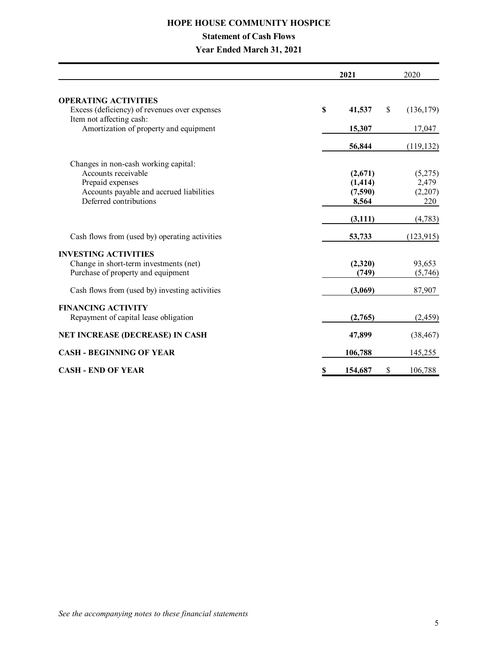## **Statement of Cash Flows**

**Year Ended March 31, 2021**

|                                                                                                                                                       |    | 2021                                    |              |                                    |
|-------------------------------------------------------------------------------------------------------------------------------------------------------|----|-----------------------------------------|--------------|------------------------------------|
| <b>OPERATING ACTIVITIES</b><br>Excess (deficiency) of revenues over expenses<br>Item not affecting cash:                                              | \$ | 41,537                                  | $\mathbb{S}$ | (136, 179)                         |
| Amortization of property and equipment                                                                                                                |    | 15,307                                  |              | 17,047                             |
|                                                                                                                                                       |    | 56,844                                  |              | (119, 132)                         |
| Changes in non-cash working capital:<br>Accounts receivable<br>Prepaid expenses<br>Accounts payable and accrued liabilities<br>Deferred contributions |    | (2,671)<br>(1, 414)<br>(7,590)<br>8,564 |              | (5,275)<br>2,479<br>(2,207)<br>220 |
|                                                                                                                                                       |    | (3, 111)                                |              | (4,783)                            |
| Cash flows from (used by) operating activities                                                                                                        |    | 53,733                                  |              | (123, 915)                         |
| <b>INVESTING ACTIVITIES</b><br>Change in short-term investments (net)<br>Purchase of property and equipment                                           |    | (2,320)<br>(749)                        |              | 93,653<br>(5,746)                  |
| Cash flows from (used by) investing activities                                                                                                        |    | (3,069)                                 |              | 87,907                             |
| <b>FINANCING ACTIVITY</b><br>Repayment of capital lease obligation                                                                                    |    | (2,765)                                 |              | (2, 459)                           |
| NET INCREASE (DECREASE) IN CASH                                                                                                                       |    | 47,899                                  |              | (38, 467)                          |
| <b>CASH - BEGINNING OF YEAR</b>                                                                                                                       |    | 106,788                                 |              | 145,255                            |
| <b>CASH - END OF YEAR</b>                                                                                                                             | \$ | 154,687                                 | \$           | 106,788                            |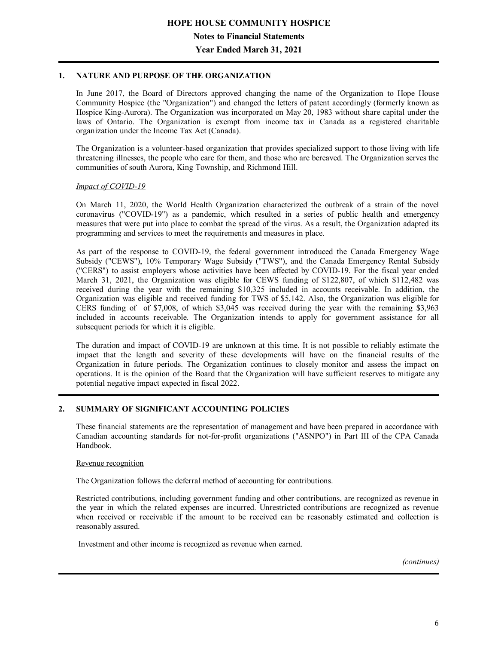**Notes to Financial Statements**

**Year Ended March 31, 2021**

## **1. NATURE AND PURPOSE OF THE ORGANIZATION**

In June 2017, the Board of Directors approved changing the name of the Organization to Hope House Community Hospice (the "Organization") and changed the letters of patent accordingly (formerly known as Hospice King-Aurora). The Organization was incorporated on May 20, 1983 without share capital under the laws of Ontario. The Organization is exempt from income tax in Canada as a registered charitable organization under the Income Tax Act (Canada).

The Organization is a volunteer-based organization that provides specialized support to those living with life threatening illnesses, the people who care for them, and those who are bereaved. The Organization serves the communities of south Aurora, King Township, and Richmond Hill.

#### *Impact of COVID-19*

On March 11, 2020, the World Health Organization characterized the outbreak of a strain of the novel coronavirus ("COVID-19") as a pandemic, which resulted in a series of public health and emergency measures that were put into place to combat the spread of the virus. As a result, the Organization adapted its programming and services to meet the requirements and measures in place.

As part of the response to COVID-19, the federal government introduced the Canada Emergency Wage Subsidy ("CEWS"), 10% Temporary Wage Subsidy ("TWS"), and the Canada Emergency Rental Subsidy ("CERS") to assist employers whose activities have been affected by COVID-19. For the fiscal year ended March 31, 2021, the Organization was eligible for CEWS funding of \$122,807, of which \$112,482 was received during the year with the remaining \$10,325 included in accounts receivable. In addition, the Organization was eligible and received funding for TWS of \$5,142. Also, the Organization was eligible for CERS funding of of \$7,008, of which \$3,045 was received during the year with the remaining \$3,963 included in accounts receivable. The Organization intends to apply for government assistance for all subsequent periods for which it is eligible.

The duration and impact of COVID-19 are unknown at this time. It is not possible to reliably estimate the impact that the length and severity of these developments will have on the financial results of the Organization in future periods. The Organization continues to closely monitor and assess the impact on operations. It is the opinion of the Board that the Organization will have sufficient reserves to mitigate any potential negative impact expected in fiscal 2022.

#### **2. SUMMARY OF SIGNIFICANT ACCOUNTING POLICIES**

These financial statements are the representation of management and have been prepared in accordance with Canadian accounting standards for not-for-profit organizations ("ASNPO") in Part III of the CPA Canada Handbook.

#### Revenue recognition

The Organization follows the deferral method of accounting for contributions.

Restricted contributions, including government funding and other contributions, are recognized as revenue in the year in which the related expenses are incurred. Unrestricted contributions are recognized as revenue when received or receivable if the amount to be received can be reasonably estimated and collection is reasonably assured.

Investment and other income is recognized as revenue when earned.

*(continues)*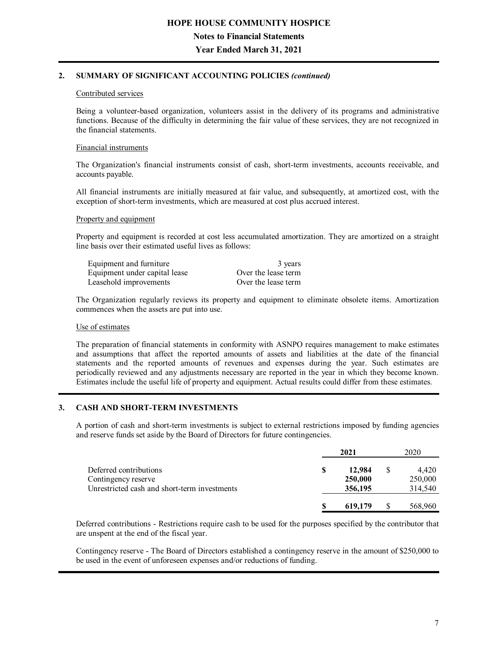## **2. SUMMARY OF SIGNIFICANT ACCOUNTING POLICIES** *(continued)*

#### Contributed services

Being a volunteer-based organization, volunteers assist in the delivery of its programs and administrative functions. Because of the difficulty in determining the fair value of these services, they are not recognized in the financial statements.

#### Financial instruments

The Organization's financial instruments consist of cash, short-term investments, accounts receivable, and accounts payable.

All financial instruments are initially measured at fair value, and subsequently, at amortized cost, with the exception of short-term investments, which are measured at cost plus accrued interest.

#### Property and equipment

Property and equipment is recorded at cost less accumulated amortization. They are amortized on a straight line basis over their estimated useful lives as follows:

| Equipment and furniture       | 3 years             |
|-------------------------------|---------------------|
| Equipment under capital lease | Over the lease term |
| Leasehold improvements        | Over the lease term |

The Organization regularly reviews its property and equipment to eliminate obsolete items. Amortization commences when the assets are put into use.

#### Use of estimates

The preparation of financial statements in conformity with ASNPO requires management to make estimates and assumptions that affect the reported amounts of assets and liabilities at the date of the financial statements and the reported amounts of revenues and expenses during the year. Such estimates are periodically reviewed and any adjustments necessary are reported in the year in which they become known. Estimates include the useful life of property and equipment. Actual results could differ from these estimates.

### **3. CASH AND SHORT-TERM INVESTMENTS**

A portion of cash and short-term investments is subject to external restrictions imposed by funding agencies and reserve funds set aside by the Board of Directors for future contingencies.

|                                               |   | 2021              | 2020             |
|-----------------------------------------------|---|-------------------|------------------|
| Deferred contributions<br>Contingency reserve | S | 12.984<br>250,000 | 4.420<br>250,000 |
| Unrestricted cash and short-term investments  |   | 356,195           | 314,540          |
|                                               | S | 619,179           | 568,960          |

Deferred contributions - Restrictions require cash to be used for the purposes specified by the contributor that are unspent at the end of the fiscal year.

Contingency reserve - The Board of Directors established a contingency reserve in the amount of \$250,000 to be used in the event of unforeseen expenses and/or reductions of funding.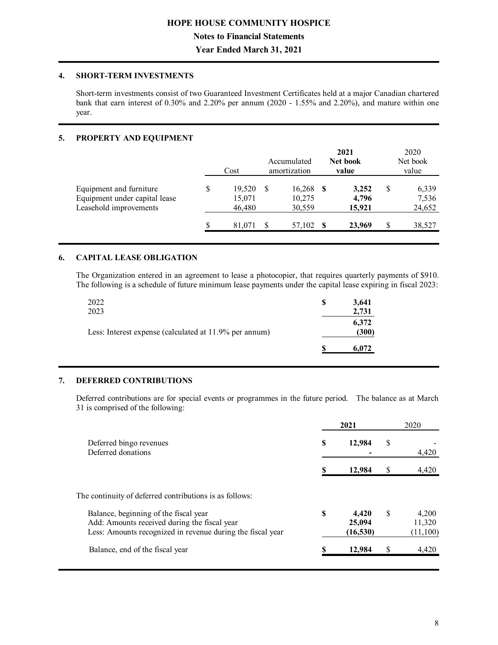**Notes to Financial Statements**

**Year Ended March 31, 2021**

## **4. SHORT-TERM INVESTMENTS**

Short-term investments consist of two Guaranteed Investment Certificates held at a major Canadian chartered bank that earn interest of 0.30% and 2.20% per annum (2020 - 1.55% and 2.20%), and mature within one year.

### **5. PROPERTY AND EQUIPMENT**

|                                                                                    | Cost                             | Accumulated<br>amortization | 2021<br>Net book<br>value |    | 2020<br>Net book<br>value |
|------------------------------------------------------------------------------------|----------------------------------|-----------------------------|---------------------------|----|---------------------------|
| Equipment and furniture<br>Equipment under capital lease<br>Leasehold improvements | \$<br>19.520<br>15,071<br>46,480 | 16,268<br>10,275<br>30,559  | 3,252<br>4,796<br>15,921  | S  | 6,339<br>7,536<br>24,652  |
|                                                                                    | 81,071                           | 57,102                      | 23,969                    | \$ | 38,527                    |

## **6. CAPITAL LEASE OBLIGATION**

The Organization entered in an agreement to lease a photocopier, that requires quarterly payments of \$910. The following is a schedule of future minimum lease payments under the capital lease expiring in fiscal 2023:

| 2022<br>2023                                           | S | 3,641<br>2,731 |
|--------------------------------------------------------|---|----------------|
| Less: Interest expense (calculated at 11.9% per annum) |   | 6,372<br>(300) |
|                                                        |   | 6,072          |

## **7. DEFERRED CONTRIBUTIONS**

Deferred contributions are for special events or programmes in the future period. The balance as at March 31 is comprised of the following:

|                                                                                                                                                     |   | 2021                         |   | 2020                        |
|-----------------------------------------------------------------------------------------------------------------------------------------------------|---|------------------------------|---|-----------------------------|
| Deferred bingo revenues<br>Deferred donations                                                                                                       | S | 12,984                       | S | 4,420                       |
|                                                                                                                                                     |   | 12,984                       | S | 4,420                       |
| The continuity of deferred contributions is as follows:                                                                                             |   |                              |   |                             |
| Balance, beginning of the fiscal year<br>Add: Amounts received during the fiscal year<br>Less: Amounts recognized in revenue during the fiscal year | S | 4,420<br>25,094<br>(16, 530) | S | 4,200<br>11,320<br>(11,100) |
| Balance, end of the fiscal year                                                                                                                     |   | 12,984                       | S | 4,420                       |
|                                                                                                                                                     |   |                              |   |                             |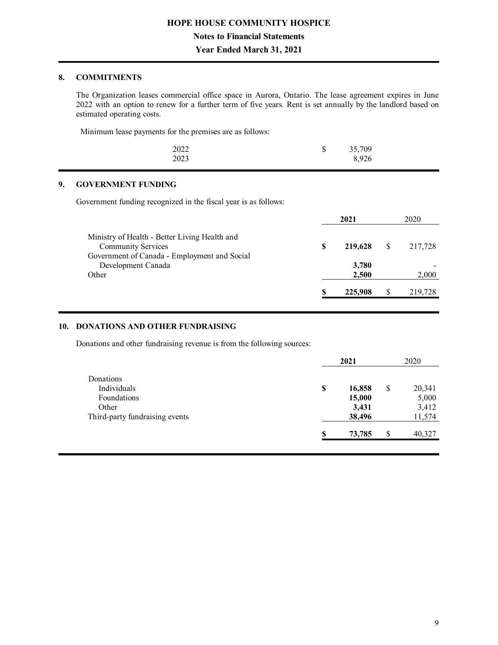## **8. COMMITMENTS**

The Organization leases commercial office space in Aurora, Ontario. The lease agreement expires in June 2022 with an option to renew for a further term of five years. Rent is set annually by the landlord based on estimated operating costs.

Minimum lease payments for the premises are as follows:

| 2022 | $\$\qquad 35,709$ |
|------|-------------------|
| 2023 | 8,926             |

## **9. GOVERNMENT FUNDING**

Government funding recognized in the fiscal year is as follows:

|                                                                             | 2021 |                |              | 2020    |  |
|-----------------------------------------------------------------------------|------|----------------|--------------|---------|--|
| Ministry of Health - Better Living Health and<br><b>Community Services</b>  | S    | 219,628        | <sup>S</sup> | 217,728 |  |
| Government of Canada - Employment and Social<br>Development Canada<br>Other |      | 3,780<br>2,500 |              | 2,000   |  |
|                                                                             | S    | 225,908        | S            | 219,728 |  |

## **10. DONATIONS AND OTHER FUNDRAISING**

Donations and other fundraising revenue is from the following sources:

|                                                                                           |    | 2021                                |    | 2020                               |
|-------------------------------------------------------------------------------------------|----|-------------------------------------|----|------------------------------------|
| Donations<br>Individuals<br><b>Foundations</b><br>Other<br>Third-party fundraising events | \$ | 16,858<br>15,000<br>3,431<br>38,496 | \$ | 20,341<br>5,000<br>3,412<br>11,574 |
|                                                                                           | S  | 73,785                              | \$ | 40,327                             |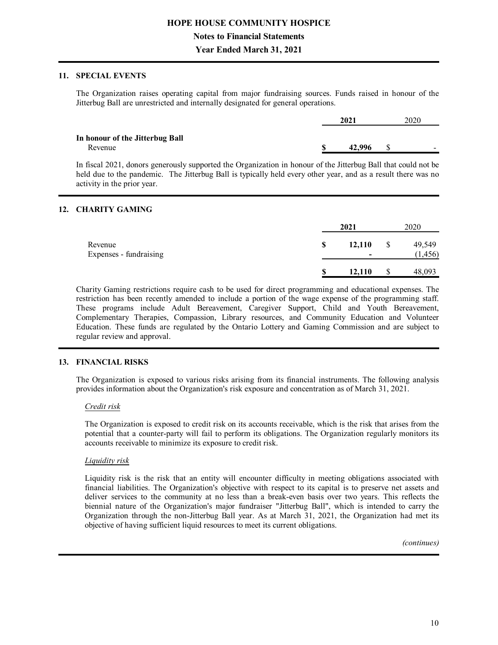**Notes to Financial Statements**

## **Year Ended March 31, 2021**

#### **11. SPECIAL EVENTS**

The Organization raises operating capital from major fundraising sources. Funds raised in honour of the Jitterbug Ball are unrestricted and internally designated for general operations.

|                                 | 2021   |  | 2020 |  |  |
|---------------------------------|--------|--|------|--|--|
| In honour of the Jitterbug Ball |        |  |      |  |  |
| Revenue                         | 42,996 |  | -    |  |  |

In fiscal 2021, donors generously supported the Organization in honour of the Jitterbug Ball that could not be held due to the pandemic. The Jitterbug Ball is typically held every other year, and as a result there was no activity in the prior year.

#### **12. CHARITY GAMING**

|                                   |    | 2021        |   | 2020               |
|-----------------------------------|----|-------------|---|--------------------|
| Revenue<br>Expenses - fundraising | S  | 12,110<br>- |   | 49,549<br>(1, 456) |
|                                   | \$ | 12,110      | Φ | 48,093             |

Charity Gaming restrictions require cash to be used for direct programming and educational expenses. The restriction has been recently amended to include a portion of the wage expense of the programming staff. These programs include Adult Bereavement, Caregiver Support, Child and Youth Bereavement, Complementary Therapies, Compassion, Library resources, and Community Education and Volunteer Education. These funds are regulated by the Ontario Lottery and Gaming Commission and are subject to regular review and approval.

#### **13. FINANCIAL RISKS**

The Organization is exposed to various risks arising from its financial instruments. The following analysis provides information about the Organization's risk exposure and concentration as of March 31, 2021.

#### *Credit risk*

The Organization is exposed to credit risk on its accounts receivable, which is the risk that arises from the potential that a counter-party will fail to perform its obligations. The Organization regularly monitors its accounts receivable to minimize its exposure to credit risk.

#### *Liquidity risk*

Liquidity risk is the risk that an entity will encounter difficulty in meeting obligations associated with financial liabilities. The Organization's objective with respect to its capital is to preserve net assets and deliver services to the community at no less than a break-even basis over two years. This reflects the biennial nature of the Organization's major fundraiser "Jitterbug Ball", which is intended to carry the Organization through the non-Jitterbug Ball year. As at March 31, 2021, the Organization had met its objective of having sufficient liquid resources to meet its current obligations.

*(continues)*